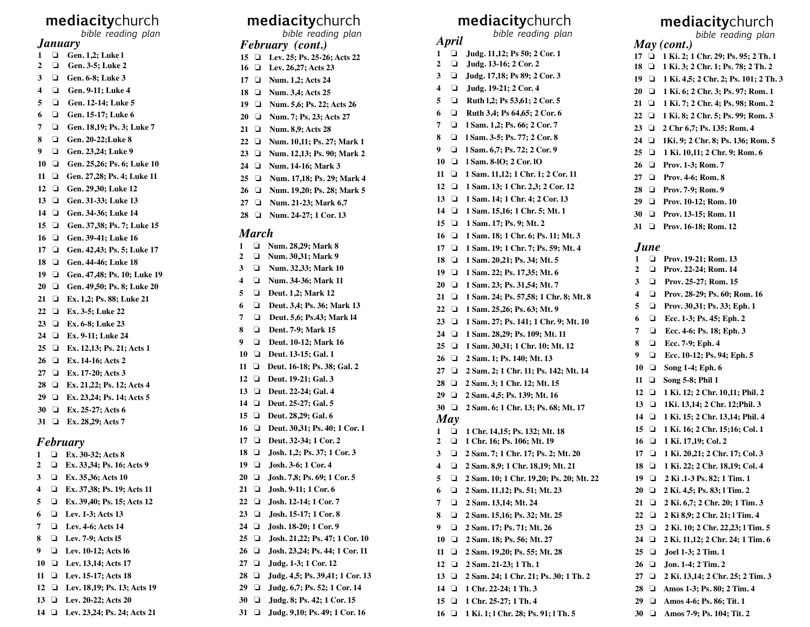# **mediacity**church

*bible reading plan*

### *January*

- **1 a Gen. 1.2; Luke l**
- **2**  ! **Gen. 3-5; Luke 2**
- **3**  ! **Gen. 6-8; Luke 3**
- **4**  ! **Gen. 9-11; Luke 4**
- **5**  ! **Gen. 12-14; Luke 5**
- **6**  ! **Gen. 15-17; Luke 6**
- **7**  ! **Gen. 18,19; Ps. 3; Luke 7**
- **8**  ! **Gen. 20-22;Luke 8**
- **9**  ! **Gen. 23,24; Luke 9**
- **10 Gen. 25,26; Ps. 6; Luke 10**
- **11**  ! **Gen. 27,28; Ps. 4; Luke 11**
- 12  $\Box$ ! **Gen. 29,30; Luke 12**
- $13 \square$ ! **Gen. 31-33; Luke 13**
- **14**  ! **Gen. 34-36; Luke 14**
- **15**  ! **Gen. 37,38; Ps. 7; Luke 15**
- **16**  ! **Gen. 39-41; Luke 16**
- **17**  ! **Gen. 42,43; Ps. 5; Luke 17**
- **18**  ! **Gen. 44-46; Luke 18**
- **19**  ! **Gen. 47,48; Ps. 10; Luke 19**
- **20**  ! **Gen. 49,50; Ps. 8; Luke 20**
- **21**  ! **Ex. 1,2; Ps. 88; Luke 21**
- **22**  ! **Ex. 3-5; Luke 22**
- **23**  ! **Ex. 6-8; Luke 23**
- **24**  ! **Ex. 9-11; Luke 24**
- **25**  ! **Ex. 12,13; Ps. 21; Acts 1**
- **26**  ! **Ex. 14-16; Acts 2**
- **27**  ! **Ex. 17-20; Acts 3**
- **28**  ! **Ex. 21,22; Ps. 12; Acts 4**
- **29**  ! **Ex. 23,24; Ps. 14; Acts 5**
- **30**  ! **Ex. 25-27; Acts 6**
- **31**  ! **Ex. 28,29; Acts 7**

### *February*

- **1**  ! **Ex. 30-32; Acts 8 2**  ! **Ex. 33,34; Ps. 16; Acts 9 3**  ! **Ex. 35,36; Acts 10 4**  ! **Ex. 37,38; Ps. 19; Acts 11 5**  ! **Ex. 39,40; Ps. 15; Acts 12 6**  ! **Lev. 1-3; Acts 13 7 1** Lev. 4-6: Acts 14 **8**  ! **Lev. 7-9; Acts l5 9**  ! **Lev. 10-12; Acts l6 10**  ! **Lev. 13,14; Acts 17 11**  ! **Lev. 15-17; Acts 18 12**  ! **Lev. 18,19; Ps. 13; Acts 19 13**  ! **Lev. 20-22; Acts 20**
- **14**  ! **Lev. 23,24; Ps. 24; Acts 21**

# **mediacity**church

*bible reading plan*

### *February (cont.)*

- **15**  ! **Lev. 25; Ps. 25-26; Acts 22**
- **16**  ! **Lev. 26,27; Acts 23**
- **17**  ! **Num. 1,2; Acts 24**
- **18**  ! **Num. 3,4; Acts 25**
- **19**  ! **Num. 5,6; Ps. 22; Acts 26**
- **20**  ! **Num. 7; Ps. 23; Acts 27**
- **21**  ! **Num. 8,9; Acts 28**
- **22**  ! **Num. 10,11; Ps. 27; Mark 1**
- **23**  ! **Num. 12,13; Ps. 90; Mark 2**
- **24**  ! **Num. 14-16; Mark 3**
- **25**  ! **Num. 17,18; Ps. 29; Mark 4**
- **26**  ! **Num. 19,20; Ps. 28; Mark 5**
- **27**  ! **Num. 21-23; Mark 6,7**
- **28**  ! **Num. 24-27; 1 Cor. 13**

#### *March*

- **1**  ! **Num. 28,29; Mark 8 2**  ! **Num. 30,31; Mark 9 3 1 Num. 32.33: Mark 10 4**  ! **Num. 34-36; Mark 11 5**  ! **Deut. 1,2; Mark 12 6**
- ! **Deut. 3,4; Ps. 36; Mark 13**
- **7**  ! **Deut. 5,6; Ps.43; Mark l4**
- **8**  ! **Dent. 7-9; Mark 15**
- **9**  ! **Deut. 10-12; Mark 16**
- **10**  ! **Deut. 13-15; Gal. 1**
- **11**  ! **Deut. 16-18; Ps. 38; Gal. 2**
- **12**  ! **Deut. 19-21; Gal. 3**
- 13  $\Box$ ! **Deut. 22-24; Gal. 4**
- **14**  ! **Deut. 25-27; Gal. 5**
- **15**  ! **Deut. 28,29; Gal. 6**
- **16**  ! **Deut. 30,31; Ps. 40; 1 Cor. 1**
- 17  $\Box$ ! **Deut. 32-34; 1 Cor. 2**
- **18**  ! **Josh. 1,2; Ps. 37; 1 Cor. 3**
- **19**  ! **Josh. 3-6; 1 Cor. 4**
- $20 \square$ ! **Josh. 7,8; Ps. 69; 1 Cor. 5**
- **21**  ! **Josh. 9-11; 1 Cor. 6**
- **22**  ! **Josh. 12-14; 1 Cor. 7**
- **23**  ! **Josh. 15-17; 1 Cor. 8**
- **24**  ! **Josh. 18-20; 1 Cor. 9**
- **25**  ! **Josh. 21,22; Ps. 47; 1 Cor. 10**
- **26**  ! **Josh. 23,24; Ps. 44; 1 Cor. 11**
- **27**  ! **Judg. 1-3; 1 Cor. 12**
- **28**  ! **Judg. 4,5; Ps. 39,41; 1 Cor. 13**
- **29**  ! **Judg. 6,7; Ps. 52; 1 Cor. 14**
- **30**  ! **Judg. 8; Ps. 42; 1 Cor. 15**
- **31**  ! **Judg. 9,10; Ps. 49; 1 Cor. 16**

## **mediacity**church

*bible reading plan*

*April*

**16** 

**17** 

**18** 

**20** 

**22** 

**24** 

**26** 

**27** 

**28** 

**29** 

**2** 

**3** 

**4** 

**5** 

**6** 

**7** 

**8** 

**9** 

**10** 

**11** 

**13** 

**15** 

**12** 

**30** 

*May* **1** 

**19** 

**21** 

 $23 \square$ 

 $25 \Box$ 

- **1**  ! **Judg. 11,12; Ps 50; 2 Cor. 1**
- **2**  □ **Judg. 13-16; 2 Cor. 2**
- **3**  ! **Judg. 17,18; Ps 89; 2 Cor. 3**
- **4**  □ **Judg. 19-21; 2 Cor. 4**
- **5**  □ **Ruth 1,2; Ps 53,61; 2 Cor. 5**
- **6**  ! **Ruth 3,4; Ps 64,65; 2 Cor. 6**
- **7**  ! **l Sam. 1,2; Ps. 66; 2 Cor. 7**
- **8**  ! **l Sam. 3-5; Ps. 77; 2 Cor. 8**
- **9**  ! **l Sam. 6,7; Ps. 72; 2 Cor. 9**
- **10**  □ 1 Sam. 8-10; 2 Cor. 10
- **11**  ! **1 Sam. 11,12; 1 Chr. 1; 2 Cor. 11**
- **12**  ! **1 Sam. 13; 1 Chr. 2,3; 2 Cor. 12**
- **13**  ! **1 Sam. 14; 1 Chr. 4; 2 Cor. 13**
- **14**  ! **1 Sam. 15,16; 1 Chr. 5; Mt. 1**
- **15**  ! **1 Sam. 17; Ps. 9; Mt. 2**

! **1 Sam. 20,21; Ps. 34; Mt. 5**

! **1 Sam. 23; Ps. 31,54; Mt. 7**

! **1 Sam. 25,26; Ps. 63; Mt. 9**

! **1 Sam. 28,29; Ps. 109; Mt. 11**

! **2 Sam. 1; Ps. 140; Mt. 13**

! **2 Sam. 3; 1 Chr. 12; Mt. 15**

! **2 Sam. 4,5; Ps. 139; Mt. 16**

! **1 Chr. 14,15; Ps. 132; Mt. 18**

! **2 Sam. 7; 1 Chr. 17; Ps. 2; Mt. 20**

! **2 Sam. 10; 1 Chr. 19,20; Ps. 20; Mt. 22**

! **2 Sam. 8,9; 1 Chr. 18,19; Mt. 21**

! **2 Sam. 11,12; Ps. 51; Mt. 23**

! **2 Sam. 15,16; Ps. 32; Mt. 25**

! **2 Sam. 19,20; Ps. 55; Mt. 28**

! **2 Sam. 24; 1 Chr. 21; Ps. 30; 1 Th. 2**

! **2 Sam. 17; Ps. 71; Mt. 26**

! **2 Sam. 18; Ps. 56; Mt. 27**

! **2 Sam. 21-23; 1 Th. 1**

**14**  ! **1 Chr. 22-24; 1 Th. 3**

! **1 Chr. 25-27; 1 Th. 4 16**  ! **1 Ki. 1; l Chr. 28; Ps. 91; l Th. 5**

! **2 Sam. 13,14; Mt. 24**

! **1 Chr. 16; Ps. 106; Mt. 19**

! **1 Sam. 18; 1 Chr. 6; Ps. 11; Mt. 3**

! **1 Sam. 19; 1 Chr. 7; Ps. 59; Mt. 4**

! **1 Sam. 22; Ps. 17,35; Mt. 6**

! **1 Sam. 24; Ps. 57,58; 1 Chr. 8; Mt. 8**

*June* **1** 

*May (cont.)* 

 ! **1 Ki. 2; 1 Chr. 29; Ps. 95; 2 Th. 1** ! **1 Ki. 3; 2 Chr. 1; Ps. 78; 2 Th. 2** ! **1 Ki. 4,5; 2 Chr. 2; Ps. 101; 2 Th. 3** ! **1 Ki. 6; 2 Chr. 3; Ps. 97; Rom. 1** ! **1 Ki. 7; 2 Chr. 4; Ps. 98; Rom. 2** ! **1 Ki. 8; 2 Chr. 5; Ps. 99; Rom. 3** ! **2 Chr 6,7; Ps. 135; Rom. 4** ! **1Ki. 9; 2 Chr. 8; Ps. 136; Rom. 5** ! **1 Ki. 10,11; 2 Chr. 9; Rom. 6**

**mediacity**church

*bible reading plan*

**2** 

**3** 

**4** 

**5** 

**6** 

**7** 

**8** 

**9** 

**10** 

**18** 

**21** 

**29** 

! **Prov. 19-21; Rom. 13**

 ! **Prov. 1-3; Rom. 7** ! **Prov. 4-6; Rom. 8** ! **Prov. 7-9; Rom. 9** ! **Prov. 10-12; Rom. 10** ! **Prov. 13-15; Rom. 11** ! **Prov. 16-18; Rom. 12**

 $\Box$  Prov. 22-24; Rom. 14

 $\Box$  Prov. 25-27; Rom. 15

! **Prov. 28-29; Ps. 60; Rom. 16**

! **Prov. 30,31; Ps. 33; Eph. 1**

! **Ecc. 1-3; Ps. 45; Eph. 2**

! **Ecc. 4-6; Ps. 18; Eph. 3**

! **Ecc. 10-12; Ps. 94; Eph. 5**

 ! **1 Ki. 12; 2 Chr. 10,11; Phil. 2** ! **1Ki. 13,14; 2 Chr. 12;Phil. 3** ! **1 Ki. 15; 2 Chr. 13,14; Phil. 4** ! **1 Ki. 16; 2 Chr. 15;16; Col. 1**

**17**  ! **1 Ki. 20,21; 2 Chr. 17; Col. 3**

! **1 Ki. 22; 2 Chr. 18,19; Col. 4 19**  ! **2 Ki .1-3 Ps. 82; 1 Tim. 1 20**  ! **2 Ki. 4,5; Ps. 83; l Tim. 2**

! **2 Ki. 6,7; 2 Chr. 20; 1 Tim. 3** ! **2 Ki 8,9; 2 Chr. 21; l Tim. 4** ! **2 Ki. 10; 2 Chr. 22,23; l Tim. 5** ! **2 Ki. 11,12; 2 Chr. 24; 1 Tim. 6**

**27**  ! **2 Ki. 13,14; 2 Chr. 25; 2 Tim. 3 28**  ! **Amos 1-3; Ps. 80; 2 Tim. 4**

! **Amos 4-6; Ps. 86; Tit. 1 30**  ! **Amos 7-9; Ps. 104; Tit. 2**

! **Ecc. 7-9; Eph. 4**

! **Song 1-4; Eph. 6 11**  ! **Song 5-8; Phil 1**

**16**  ! **1 Ki. 17,19; Col. 2**

**25**  ! **Joel 1-3; 2 Tim. 1 26**  ! **Jon. 1-4; 2 Tim. 2**

! **1 Sam. 27; Ps. 141; 1 Chr. 9; Mt. 10**

! **1 Sam. 30,31; 1 Chr. 10; Mt. 12**

! **2 Sam. 2; 1 Chr. 11; Ps. 142; Mt. 14**

! **2 Sam. 6; 1 Chr. 13; Ps. 68; Mt. 17**